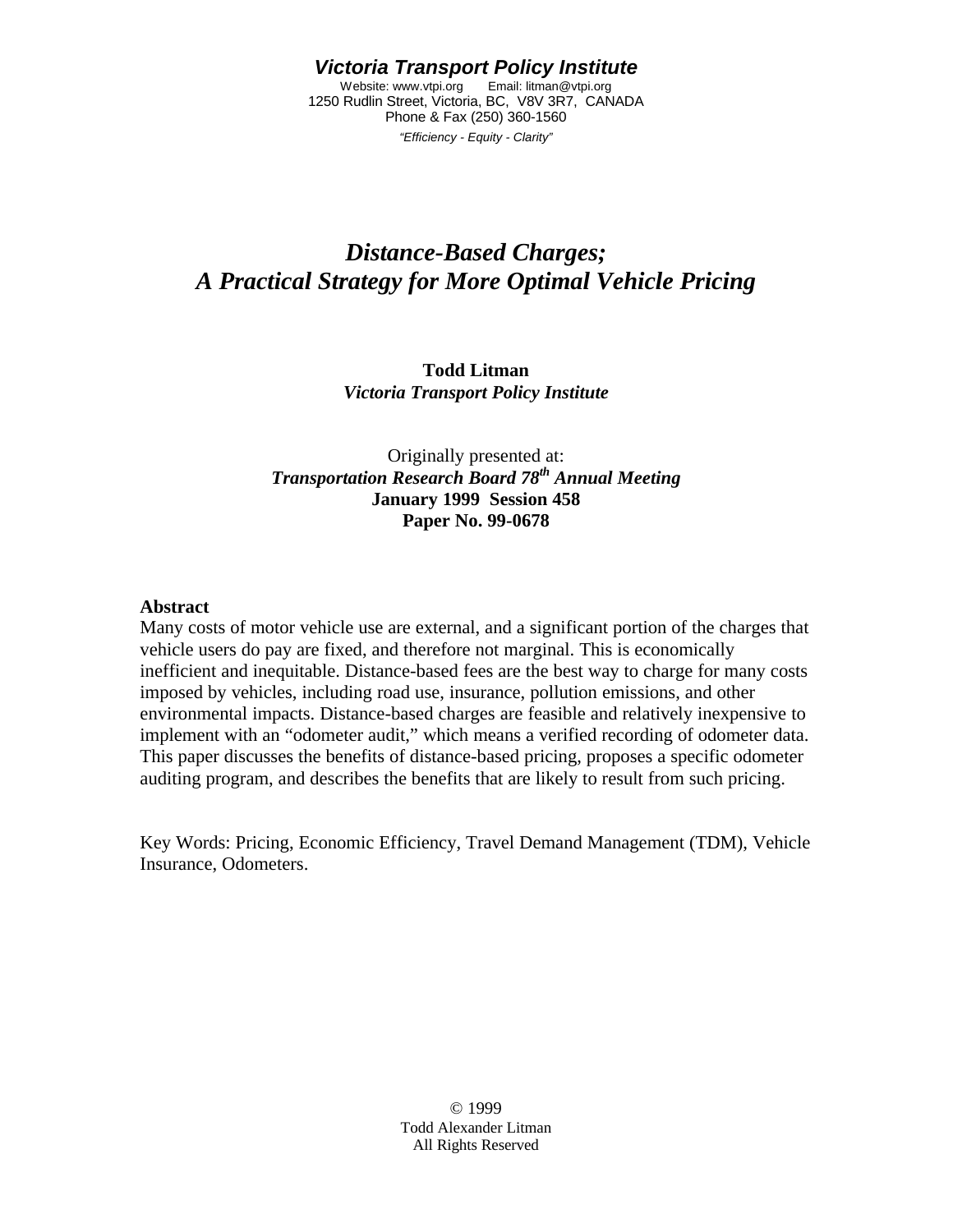#### *Victoria Transport Policy Institute*

Website: www.vtpi.org Email: litman@vtpi.org 1250 Rudlin Street, Victoria, BC, V8V 3R7, CANADA Phone & Fax (250) 360-1560

*"Efficiency - Equity - Clarity"*

# *Distance-Based Charges; A Practical Strategy for More Optimal Vehicle Pricing*

#### **Todd Litman** *Victoria Transport Policy Institute*

#### Originally presented at: *Transportation Research Board 78th Annual Meeting* **January 1999 Session 458 Paper No. 99-0678**

#### **Abstract**

Many costs of motor vehicle use are external, and a significant portion of the charges that vehicle users do pay are fixed, and therefore not marginal. This is economically inefficient and inequitable. Distance-based fees are the best way to charge for many costs imposed by vehicles, including road use, insurance, pollution emissions, and other environmental impacts. Distance-based charges are feasible and relatively inexpensive to implement with an "odometer audit," which means a verified recording of odometer data. This paper discusses the benefits of distance-based pricing, proposes a specific odometer auditing program, and describes the benefits that are likely to result from such pricing.

Key Words: Pricing, Economic Efficiency, Travel Demand Management (TDM), Vehicle Insurance, Odometers.

> © 1999 Todd Alexander Litman All Rights Reserved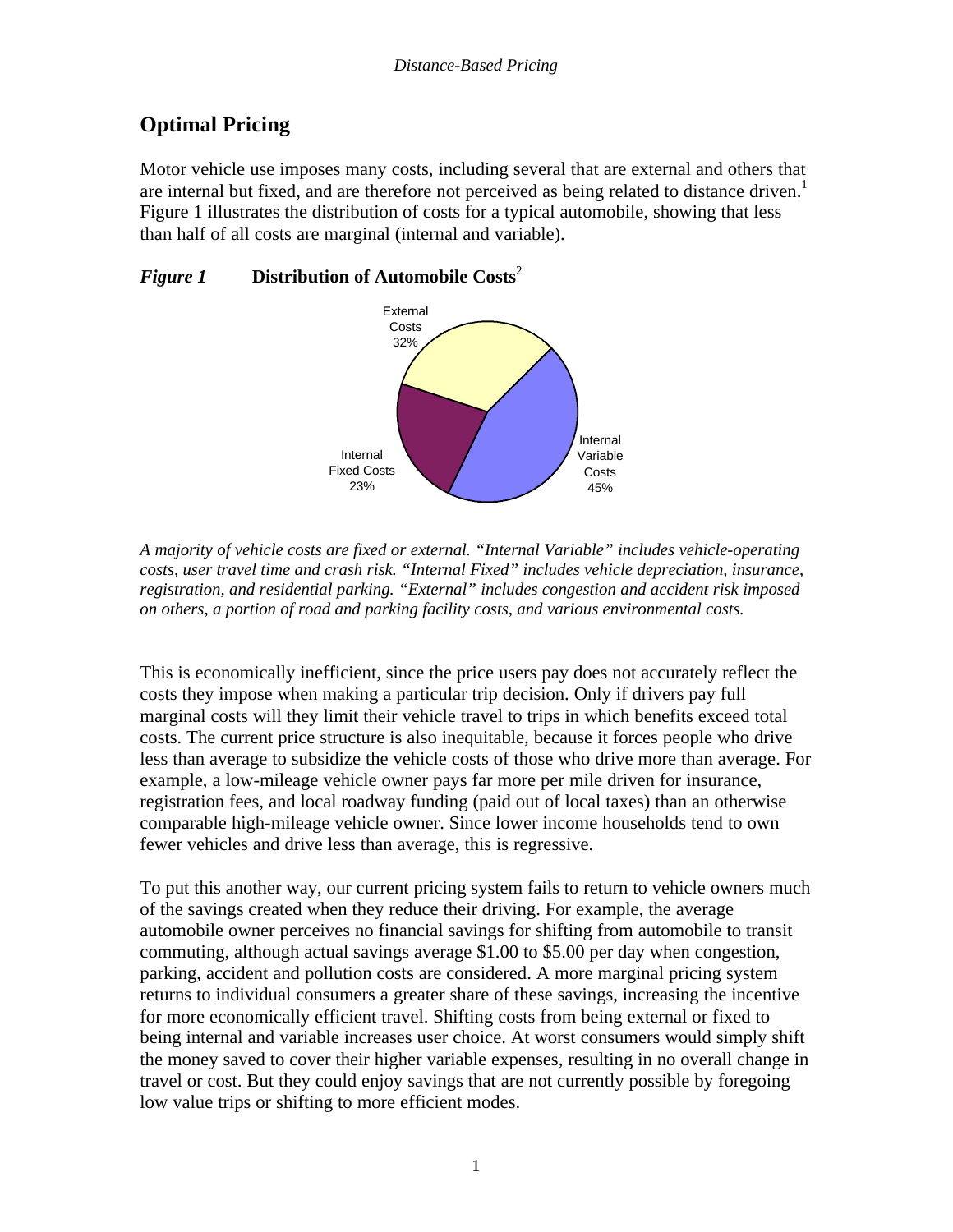## **Optimal Pricing**

Motor vehicle use imposes many costs, including several that are external and others that are internal but fixed, and are therefore not perceived as being related to distance driven.<sup>1</sup> Figure 1 illustrates the distribution of costs for a typical automobile, showing that less than half of all costs are marginal (internal and variable).

### *Figure 1* **Distribution of Automobile Costs**<sup>2</sup>



*A majority of vehicle costs are fixed or external. "Internal Variable" includes vehicle-operating costs, user travel time and crash risk. "Internal Fixed" includes vehicle depreciation, insurance, registration, and residential parking. "External" includes congestion and accident risk imposed on others, a portion of road and parking facility costs, and various environmental costs.*

This is economically inefficient, since the price users pay does not accurately reflect the costs they impose when making a particular trip decision. Only if drivers pay full marginal costs will they limit their vehicle travel to trips in which benefits exceed total costs. The current price structure is also inequitable, because it forces people who drive less than average to subsidize the vehicle costs of those who drive more than average. For example, a low-mileage vehicle owner pays far more per mile driven for insurance, registration fees, and local roadway funding (paid out of local taxes) than an otherwise comparable high-mileage vehicle owner. Since lower income households tend to own fewer vehicles and drive less than average, this is regressive.

To put this another way, our current pricing system fails to return to vehicle owners much of the savings created when they reduce their driving. For example, the average automobile owner perceives no financial savings for shifting from automobile to transit commuting, although actual savings average \$1.00 to \$5.00 per day when congestion, parking, accident and pollution costs are considered. A more marginal pricing system returns to individual consumers a greater share of these savings, increasing the incentive for more economically efficient travel. Shifting costs from being external or fixed to being internal and variable increases user choice. At worst consumers would simply shift the money saved to cover their higher variable expenses, resulting in no overall change in travel or cost. But they could enjoy savings that are not currently possible by foregoing low value trips or shifting to more efficient modes.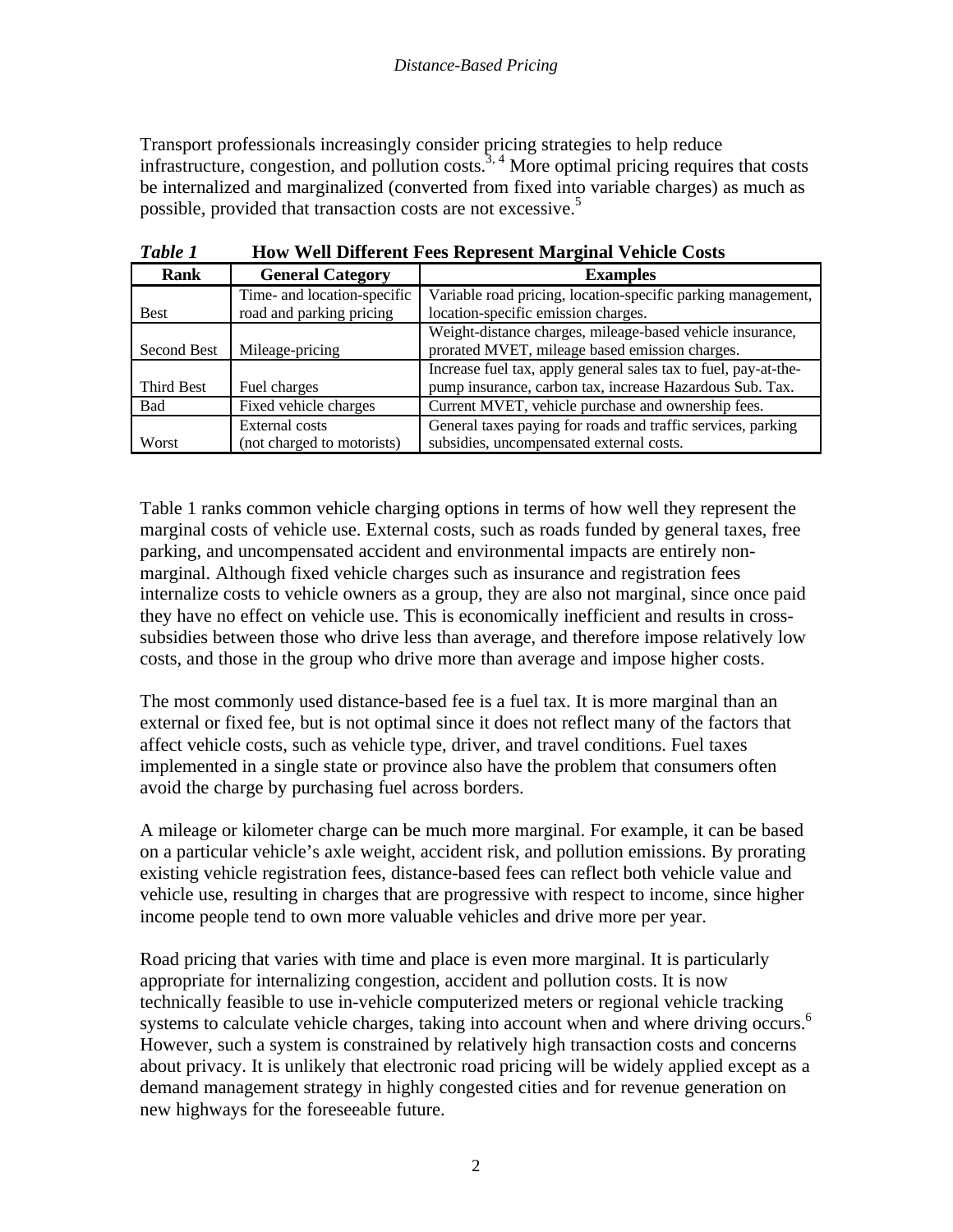Transport professionals increasingly consider pricing strategies to help reduce infrastructure, congestion, and pollution costs.<sup>3, 4</sup> More optimal pricing requires that costs be internalized and marginalized (converted from fixed into variable charges) as much as possible, provided that transaction costs are not excessive.<sup>5</sup>

| Rank        | <b>General Category</b>     | <b>Examples</b>                                                 |  |
|-------------|-----------------------------|-----------------------------------------------------------------|--|
|             | Time- and location-specific | Variable road pricing, location-specific parking management,    |  |
| <b>Best</b> | road and parking pricing    | location-specific emission charges.                             |  |
|             |                             | Weight-distance charges, mileage-based vehicle insurance,       |  |
| Second Best | Mileage-pricing             | prorated MVET, mileage based emission charges.                  |  |
|             |                             | Increase fuel tax, apply general sales tax to fuel, pay-at-the- |  |
| Third Best  | Fuel charges                | pump insurance, carbon tax, increase Hazardous Sub. Tax.        |  |
| Bad         | Fixed vehicle charges       | Current MVET, vehicle purchase and ownership fees.              |  |
|             | External costs              | General taxes paying for roads and traffic services, parking    |  |
| Worst       | (not charged to motorists)  | subsidies, uncompensated external costs.                        |  |

*Table 1* **How Well Different Fees Represent Marginal Vehicle Costs**

Table 1 ranks common vehicle charging options in terms of how well they represent the marginal costs of vehicle use. External costs, such as roads funded by general taxes, free parking, and uncompensated accident and environmental impacts are entirely nonmarginal. Although fixed vehicle charges such as insurance and registration fees internalize costs to vehicle owners as a group, they are also not marginal, since once paid they have no effect on vehicle use. This is economically inefficient and results in crosssubsidies between those who drive less than average, and therefore impose relatively low costs, and those in the group who drive more than average and impose higher costs.

The most commonly used distance-based fee is a fuel tax. It is more marginal than an external or fixed fee, but is not optimal since it does not reflect many of the factors that affect vehicle costs, such as vehicle type, driver, and travel conditions. Fuel taxes implemented in a single state or province also have the problem that consumers often avoid the charge by purchasing fuel across borders.

A mileage or kilometer charge can be much more marginal. For example, it can be based on a particular vehicle's axle weight, accident risk, and pollution emissions. By prorating existing vehicle registration fees, distance-based fees can reflect both vehicle value and vehicle use, resulting in charges that are progressive with respect to income, since higher income people tend to own more valuable vehicles and drive more per year.

Road pricing that varies with time and place is even more marginal. It is particularly appropriate for internalizing congestion, accident and pollution costs. It is now technically feasible to use in-vehicle computerized meters or regional vehicle tracking systems to calculate vehicle charges, taking into account when and where driving occurs.<sup>6</sup> However, such a system is constrained by relatively high transaction costs and concerns about privacy. It is unlikely that electronic road pricing will be widely applied except as a demand management strategy in highly congested cities and for revenue generation on new highways for the foreseeable future.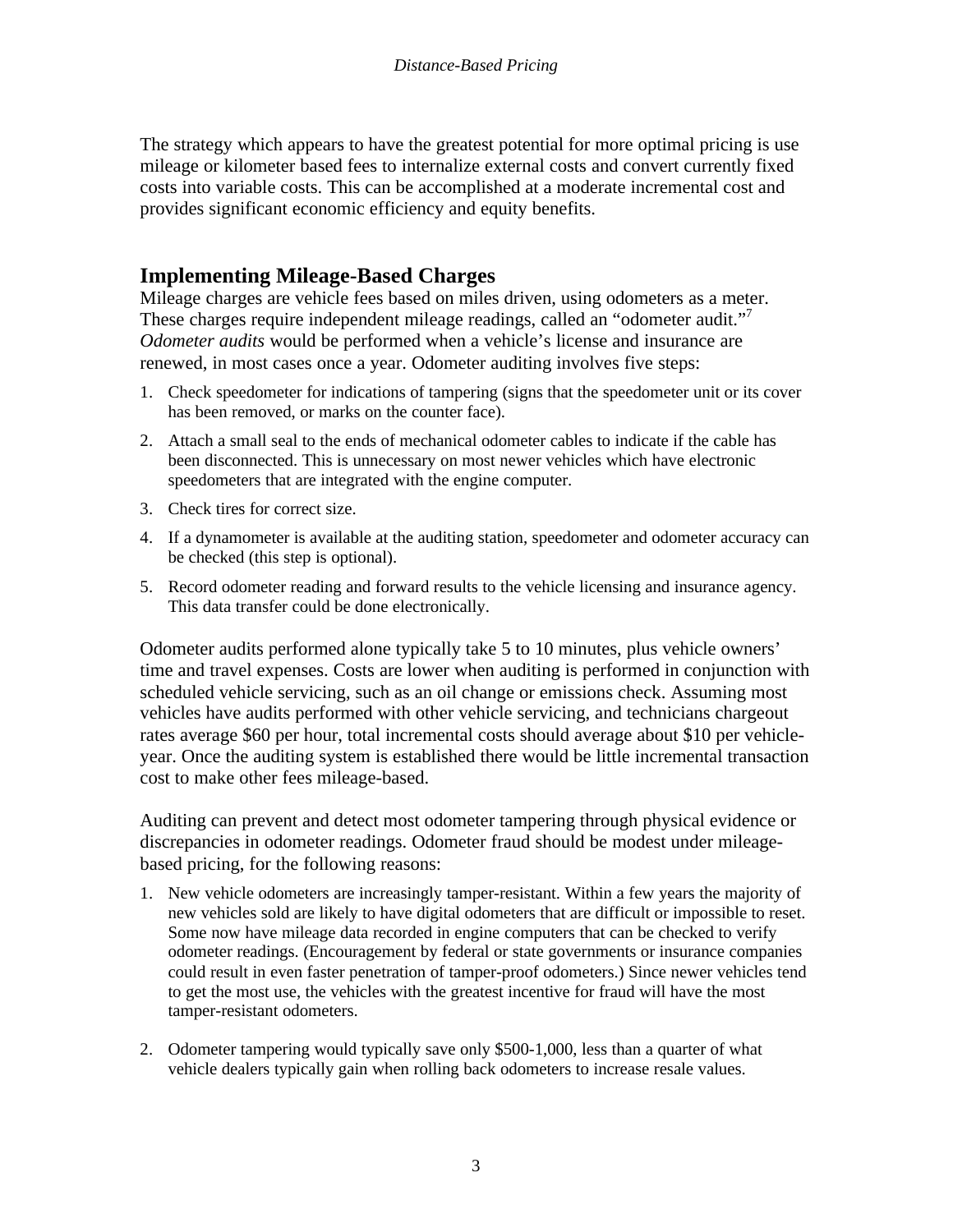The strategy which appears to have the greatest potential for more optimal pricing is use mileage or kilometer based fees to internalize external costs and convert currently fixed costs into variable costs. This can be accomplished at a moderate incremental cost and provides significant economic efficiency and equity benefits.

### **Implementing Mileage-Based Charges**

Mileage charges are vehicle fees based on miles driven, using odometers as a meter. These charges require independent mileage readings, called an "odometer audit."<sup>7</sup> *Odometer audits* would be performed when a vehicle's license and insurance are renewed, in most cases once a year. Odometer auditing involves five steps:

- 1. Check speedometer for indications of tampering (signs that the speedometer unit or its cover has been removed, or marks on the counter face).
- 2. Attach a small seal to the ends of mechanical odometer cables to indicate if the cable has been disconnected. This is unnecessary on most newer vehicles which have electronic speedometers that are integrated with the engine computer.
- 3. Check tires for correct size.
- 4. If a dynamometer is available at the auditing station, speedometer and odometer accuracy can be checked (this step is optional).
- 5. Record odometer reading and forward results to the vehicle licensing and insurance agency. This data transfer could be done electronically.

Odometer audits performed alone typically take 5 to 10 minutes, plus vehicle owners' time and travel expenses. Costs are lower when auditing is performed in conjunction with scheduled vehicle servicing, such as an oil change or emissions check. Assuming most vehicles have audits performed with other vehicle servicing, and technicians chargeout rates average \$60 per hour, total incremental costs should average about \$10 per vehicleyear. Once the auditing system is established there would be little incremental transaction cost to make other fees mileage-based.

Auditing can prevent and detect most odometer tampering through physical evidence or discrepancies in odometer readings. Odometer fraud should be modest under mileagebased pricing, for the following reasons:

- 1. New vehicle odometers are increasingly tamper-resistant. Within a few years the majority of new vehicles sold are likely to have digital odometers that are difficult or impossible to reset. Some now have mileage data recorded in engine computers that can be checked to verify odometer readings. (Encouragement by federal or state governments or insurance companies could result in even faster penetration of tamper-proof odometers.) Since newer vehicles tend to get the most use, the vehicles with the greatest incentive for fraud will have the most tamper-resistant odometers.
- 2. Odometer tampering would typically save only \$500-1,000, less than a quarter of what vehicle dealers typically gain when rolling back odometers to increase resale values.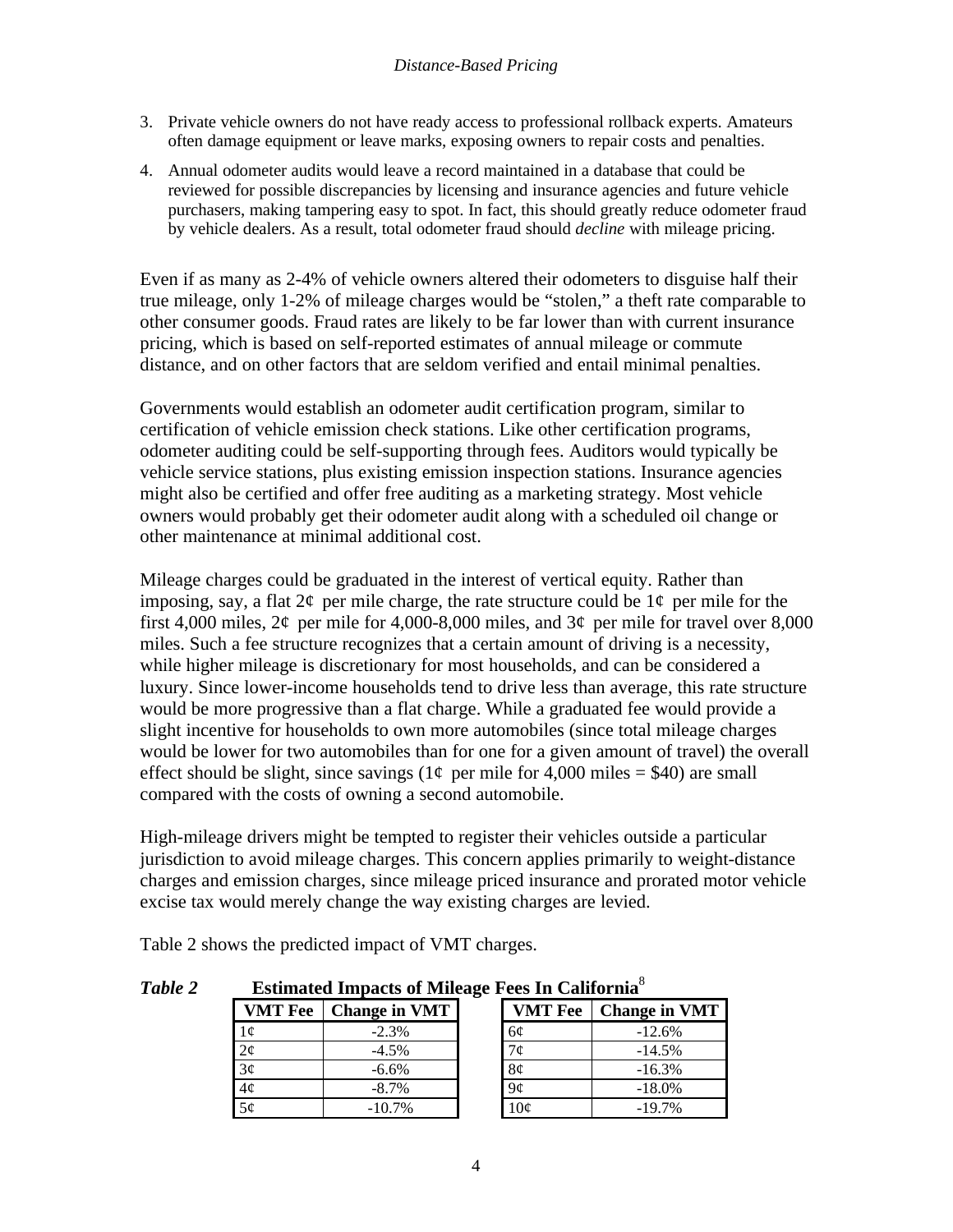- 3. Private vehicle owners do not have ready access to professional rollback experts. Amateurs often damage equipment or leave marks, exposing owners to repair costs and penalties.
- 4. Annual odometer audits would leave a record maintained in a database that could be reviewed for possible discrepancies by licensing and insurance agencies and future vehicle purchasers, making tampering easy to spot. In fact, this should greatly reduce odometer fraud by vehicle dealers. As a result, total odometer fraud should *decline* with mileage pricing.

Even if as many as 2-4% of vehicle owners altered their odometers to disguise half their true mileage, only 1-2% of mileage charges would be "stolen," a theft rate comparable to other consumer goods. Fraud rates are likely to be far lower than with current insurance pricing, which is based on self-reported estimates of annual mileage or commute distance, and on other factors that are seldom verified and entail minimal penalties.

Governments would establish an odometer audit certification program, similar to certification of vehicle emission check stations. Like other certification programs, odometer auditing could be self-supporting through fees. Auditors would typically be vehicle service stations, plus existing emission inspection stations. Insurance agencies might also be certified and offer free auditing as a marketing strategy. Most vehicle owners would probably get their odometer audit along with a scheduled oil change or other maintenance at minimal additional cost.

Mileage charges could be graduated in the interest of vertical equity. Rather than imposing, say, a flat  $2\varphi$  per mile charge, the rate structure could be  $1\varphi$  per mile for the first 4,000 miles,  $2¢$  per mile for 4,000-8,000 miles, and  $3¢$  per mile for travel over 8,000 miles. Such a fee structure recognizes that a certain amount of driving is a necessity, while higher mileage is discretionary for most households, and can be considered a luxury. Since lower-income households tend to drive less than average, this rate structure would be more progressive than a flat charge. While a graduated fee would provide a slight incentive for households to own more automobiles (since total mileage charges would be lower for two automobiles than for one for a given amount of travel) the overall effect should be slight, since savings ( $1¢$  per mile for 4,000 miles = \$40) are small compared with the costs of owning a second automobile.

High-mileage drivers might be tempted to register their vehicles outside a particular jurisdiction to avoid mileage charges. This concern applies primarily to weight-distance charges and emission charges, since mileage priced insurance and prorated motor vehicle excise tax would merely change the way existing charges are levied.

| Table 2 | <b>Estimated Impacts of Mileage Fees In California</b> <sup>8</sup> |                      |  |                |                      |
|---------|---------------------------------------------------------------------|----------------------|--|----------------|----------------------|
|         | <b>VMT</b> Fee                                                      | <b>Change in VMT</b> |  | <b>VMT</b> Fee | <b>Change in VMT</b> |
|         | 1¢                                                                  | $-2.3%$              |  | 6¢             | $-12.6%$             |
|         | $2\phi$                                                             | $-4.5%$              |  | 7¢             | $-14.5%$             |
|         | 3¢                                                                  | $-6.6%$              |  | 8¢             | $-16.3%$             |
|         | $4\phi$                                                             | $-8.7\%$             |  | 9¢             | $-18.0%$             |
|         | 5¢                                                                  | $-10.7%$             |  | 10¢            | $-19.7%$             |

Table 2 shows the predicted impact of VMT charges.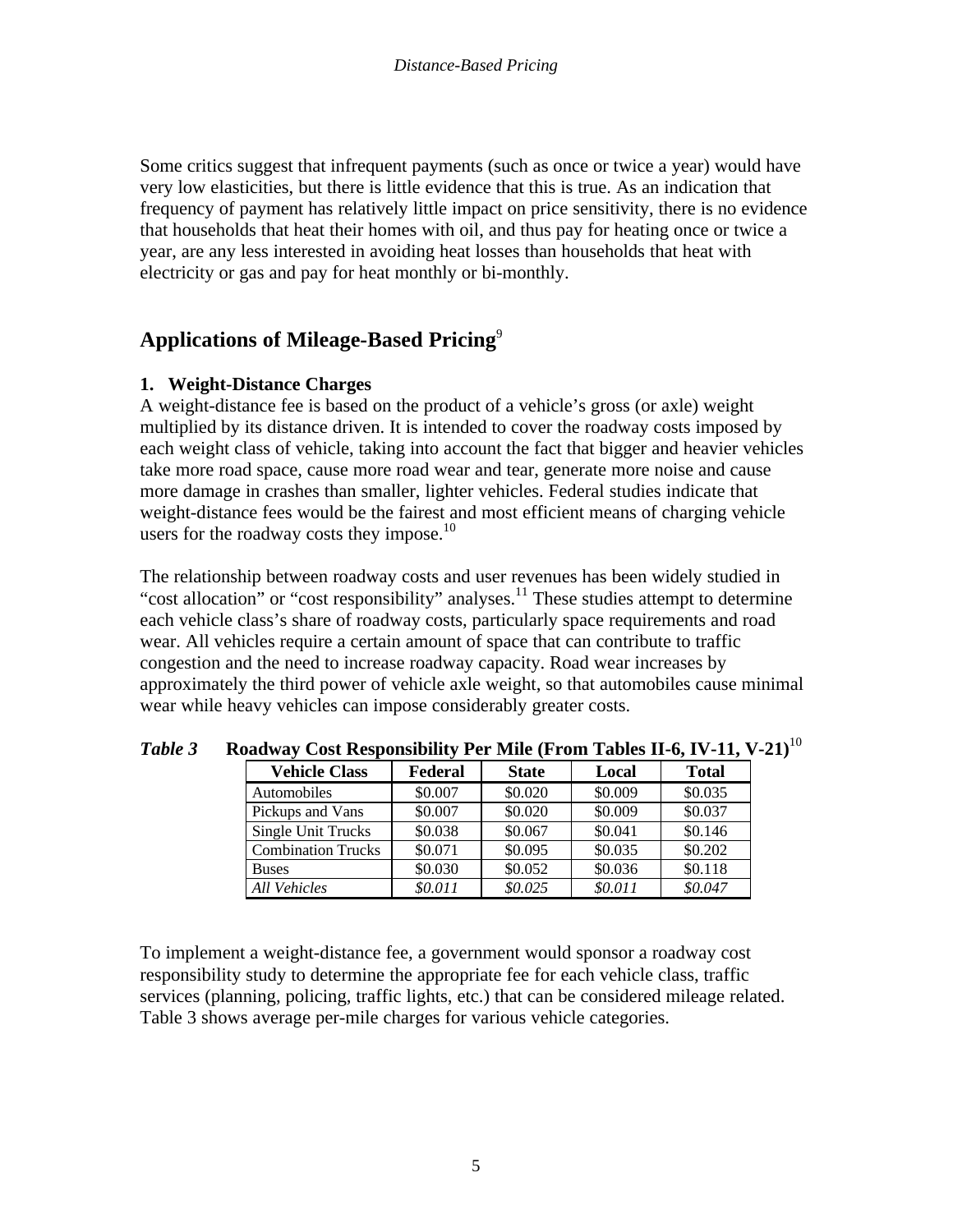Some critics suggest that infrequent payments (such as once or twice a year) would have very low elasticities, but there is little evidence that this is true. As an indication that frequency of payment has relatively little impact on price sensitivity, there is no evidence that households that heat their homes with oil, and thus pay for heating once or twice a year, are any less interested in avoiding heat losses than households that heat with electricity or gas and pay for heat monthly or bi-monthly.

### **Applications of Mileage-Based Pricing**<sup>9</sup>

#### **1. Weight-Distance Charges**

A weight-distance fee is based on the product of a vehicle's gross (or axle) weight multiplied by its distance driven. It is intended to cover the roadway costs imposed by each weight class of vehicle, taking into account the fact that bigger and heavier vehicles take more road space, cause more road wear and tear, generate more noise and cause more damage in crashes than smaller, lighter vehicles. Federal studies indicate that weight-distance fees would be the fairest and most efficient means of charging vehicle users for the roadway costs they impose. $10$ 

The relationship between roadway costs and user revenues has been widely studied in "cost allocation" or "cost responsibility" analyses.<sup>11</sup> These studies attempt to determine each vehicle class's share of roadway costs, particularly space requirements and road wear. All vehicles require a certain amount of space that can contribute to traffic congestion and the need to increase roadway capacity. Road wear increases by approximately the third power of vehicle axle weight, so that automobiles cause minimal wear while heavy vehicles can impose considerably greater costs.

| <b>Vehicle Class</b>      | Federal | <b>State</b> | Local   | <b>Total</b> |
|---------------------------|---------|--------------|---------|--------------|
| Automobiles               | \$0.007 | \$0.020      | \$0.009 | \$0.035      |
| Pickups and Vans          | \$0.007 | \$0.020      | \$0.009 | \$0.037      |
| Single Unit Trucks        | \$0.038 | \$0.067      | \$0.041 | \$0.146      |
| <b>Combination Trucks</b> | \$0.071 | \$0.095      | \$0.035 | \$0.202      |
| <b>Buses</b>              | \$0.030 | \$0.052      | \$0.036 | \$0.118      |
| <b>All Vehicles</b>       | \$0.011 | \$0.025      | \$0.011 | \$0.047      |

*Table 3* **Roadway Cost Responsibility Per Mile (From Tables II-6, IV-11, V-21)**<sup>10</sup>

To implement a weight-distance fee, a government would sponsor a roadway cost responsibility study to determine the appropriate fee for each vehicle class, traffic services (planning, policing, traffic lights, etc.) that can be considered mileage related. Table 3 shows average per-mile charges for various vehicle categories.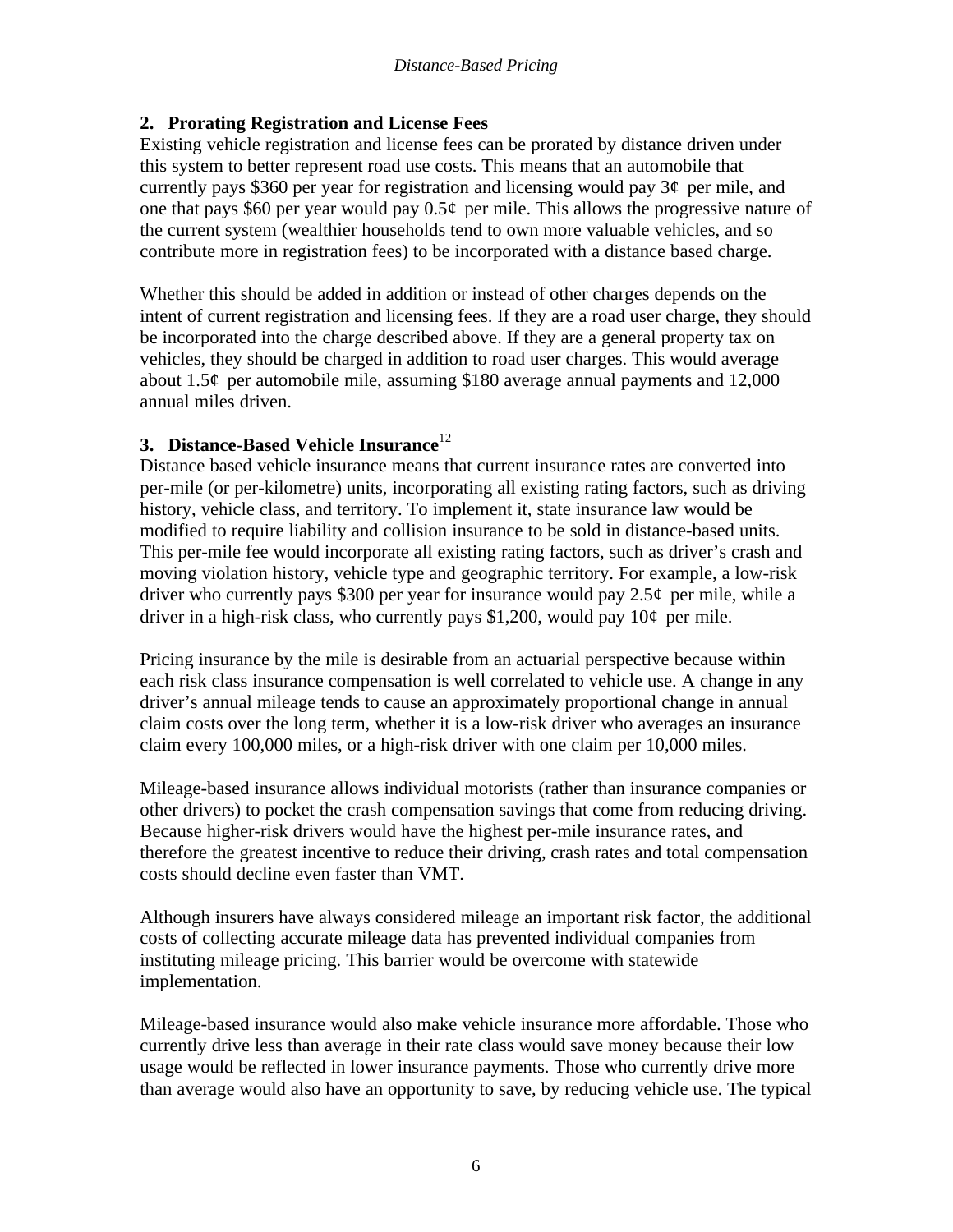#### **2. Prorating Registration and License Fees**

Existing vehicle registration and license fees can be prorated by distance driven under this system to better represent road use costs. This means that an automobile that currently pays \$360 per year for registration and licensing would pay  $3\ell$  per mile, and one that pays \$60 per year would pay  $0.5\phi$  per mile. This allows the progressive nature of the current system (wealthier households tend to own more valuable vehicles, and so contribute more in registration fees) to be incorporated with a distance based charge.

Whether this should be added in addition or instead of other charges depends on the intent of current registration and licensing fees. If they are a road user charge, they should be incorporated into the charge described above. If they are a general property tax on vehicles, they should be charged in addition to road user charges. This would average about 1.5 $\varphi$  per automobile mile, assuming \$180 average annual payments and 12,000 annual miles driven.

### **3. Distance-Based Vehicle Insurance**<sup>12</sup>

Distance based vehicle insurance means that current insurance rates are converted into per-mile (or per-kilometre) units, incorporating all existing rating factors, such as driving history, vehicle class, and territory. To implement it, state insurance law would be modified to require liability and collision insurance to be sold in distance-based units. This per-mile fee would incorporate all existing rating factors, such as driver's crash and moving violation history, vehicle type and geographic territory. For example, a low-risk driver who currently pays \$300 per year for insurance would pay  $2.5\phi$  per mile, while a driver in a high-risk class, who currently pays \$1,200, would pay  $10¢$  per mile.

Pricing insurance by the mile is desirable from an actuarial perspective because within each risk class insurance compensation is well correlated to vehicle use. A change in any driver's annual mileage tends to cause an approximately proportional change in annual claim costs over the long term, whether it is a low-risk driver who averages an insurance claim every 100,000 miles, or a high-risk driver with one claim per 10,000 miles.

Mileage-based insurance allows individual motorists (rather than insurance companies or other drivers) to pocket the crash compensation savings that come from reducing driving. Because higher-risk drivers would have the highest per-mile insurance rates, and therefore the greatest incentive to reduce their driving, crash rates and total compensation costs should decline even faster than VMT.

Although insurers have always considered mileage an important risk factor, the additional costs of collecting accurate mileage data has prevented individual companies from instituting mileage pricing. This barrier would be overcome with statewide implementation.

Mileage-based insurance would also make vehicle insurance more affordable. Those who currently drive less than average in their rate class would save money because their low usage would be reflected in lower insurance payments. Those who currently drive more than average would also have an opportunity to save, by reducing vehicle use. The typical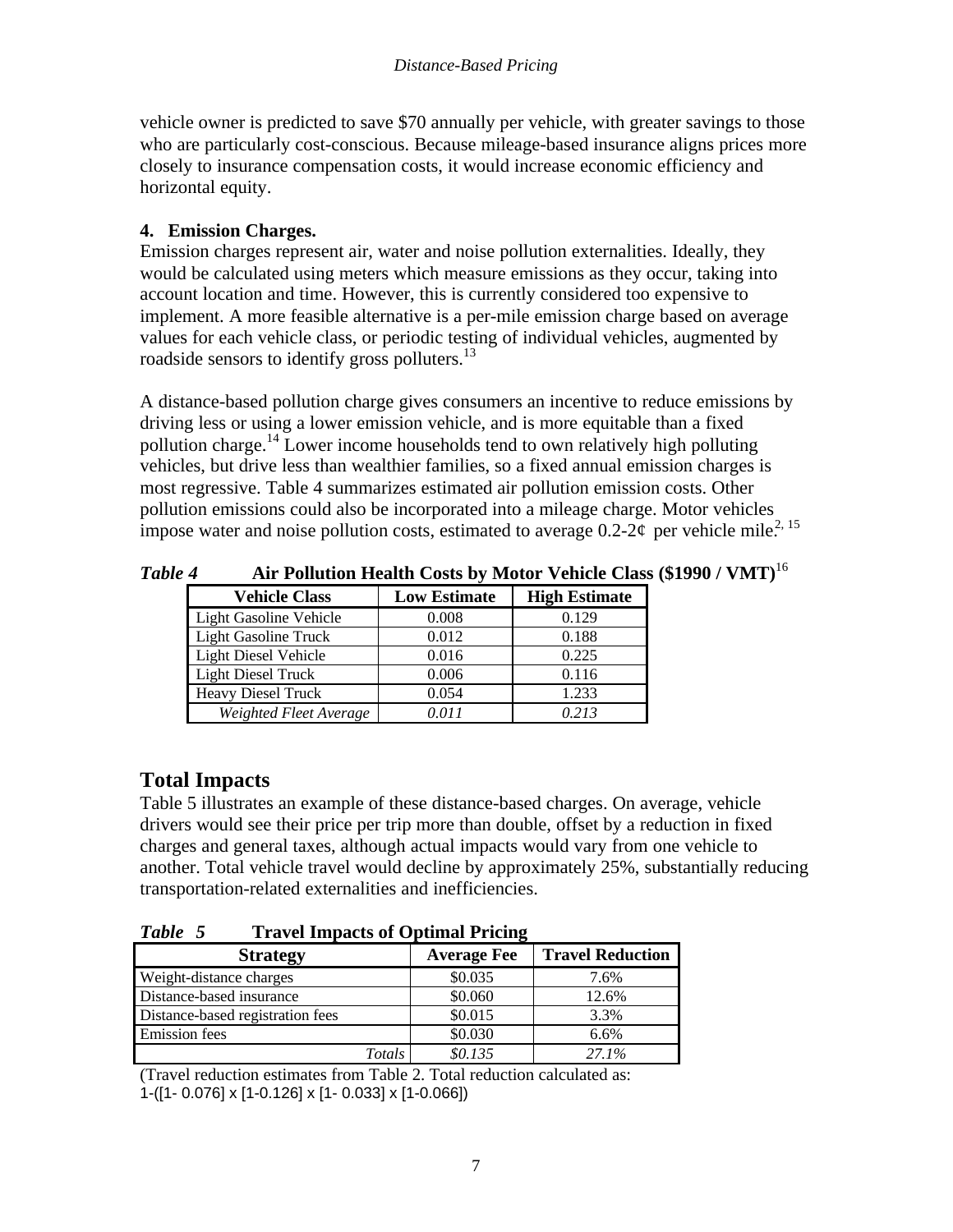vehicle owner is predicted to save \$70 annually per vehicle, with greater savings to those who are particularly cost-conscious. Because mileage-based insurance aligns prices more closely to insurance compensation costs, it would increase economic efficiency and horizontal equity.

### **4. Emission Charges.**

Emission charges represent air, water and noise pollution externalities. Ideally, they would be calculated using meters which measure emissions as they occur, taking into account location and time. However, this is currently considered too expensive to implement. A more feasible alternative is a per-mile emission charge based on average values for each vehicle class, or periodic testing of individual vehicles, augmented by roadside sensors to identify gross polluters.<sup>13</sup>

A distance-based pollution charge gives consumers an incentive to reduce emissions by driving less or using a lower emission vehicle, and is more equitable than a fixed pollution charge.<sup>14</sup> Lower income households tend to own relatively high polluting vehicles, but drive less than wealthier families, so a fixed annual emission charges is most regressive. Table 4 summarizes estimated air pollution emission costs. Other pollution emissions could also be incorporated into a mileage charge. Motor vehicles impose water and noise pollution costs, estimated to average  $0.2\n-2\varrho$  per vehicle mile.<sup>2, 15</sup>

| THE I CHWARDH INVALUE CODED BY THOVOL TURNED CHADD |                     |                      |  |
|----------------------------------------------------|---------------------|----------------------|--|
| <b>Vehicle Class</b>                               | <b>Low Estimate</b> | <b>High Estimate</b> |  |
| Light Gasoline Vehicle                             | 0.008               | 0.129                |  |
| <b>Light Gasoline Truck</b>                        | 0.012               | 0.188                |  |
| <b>Light Diesel Vehicle</b>                        | 0.016               | 0.225                |  |
| <b>Light Diesel Truck</b>                          | 0.006               | 0.116                |  |
| <b>Heavy Diesel Truck</b>                          | 0.054               | 1.233                |  |
| Weighted Fleet Average                             | 0 01 1              | 0.213                |  |

*Table 4* **Air Pollution Health Costs by Motor Vehicle Class (\$1990 / VMT)**<sup>16</sup>

## **Total Impacts**

Table 5 illustrates an example of these distance-based charges. On average, vehicle drivers would see their price per trip more than double, offset by a reduction in fixed charges and general taxes, although actual impacts would vary from one vehicle to another. Total vehicle travel would decline by approximately 25%, substantially reducing transportation-related externalities and inefficiencies.

*Table 5* **Travel Impacts of Optimal Pricing**

| <b>Strategy</b>                  | <b>Average Fee</b> | <b>Travel Reduction</b> |
|----------------------------------|--------------------|-------------------------|
| Weight-distance charges          | \$0.035            | 7.6%                    |
| Distance-based insurance         | \$0.060            | 12.6%                   |
| Distance-based registration fees | \$0.015            | 3.3%                    |
| <b>Emission</b> fees             | \$0.030            | 6.6%                    |
| Totals                           | \$0.135            | 27.1%                   |

(Travel reduction estimates from Table 2. Total reduction calculated as: 1-([1- 0.076] x [1-0.126] x [1- 0.033] x [1-0.066])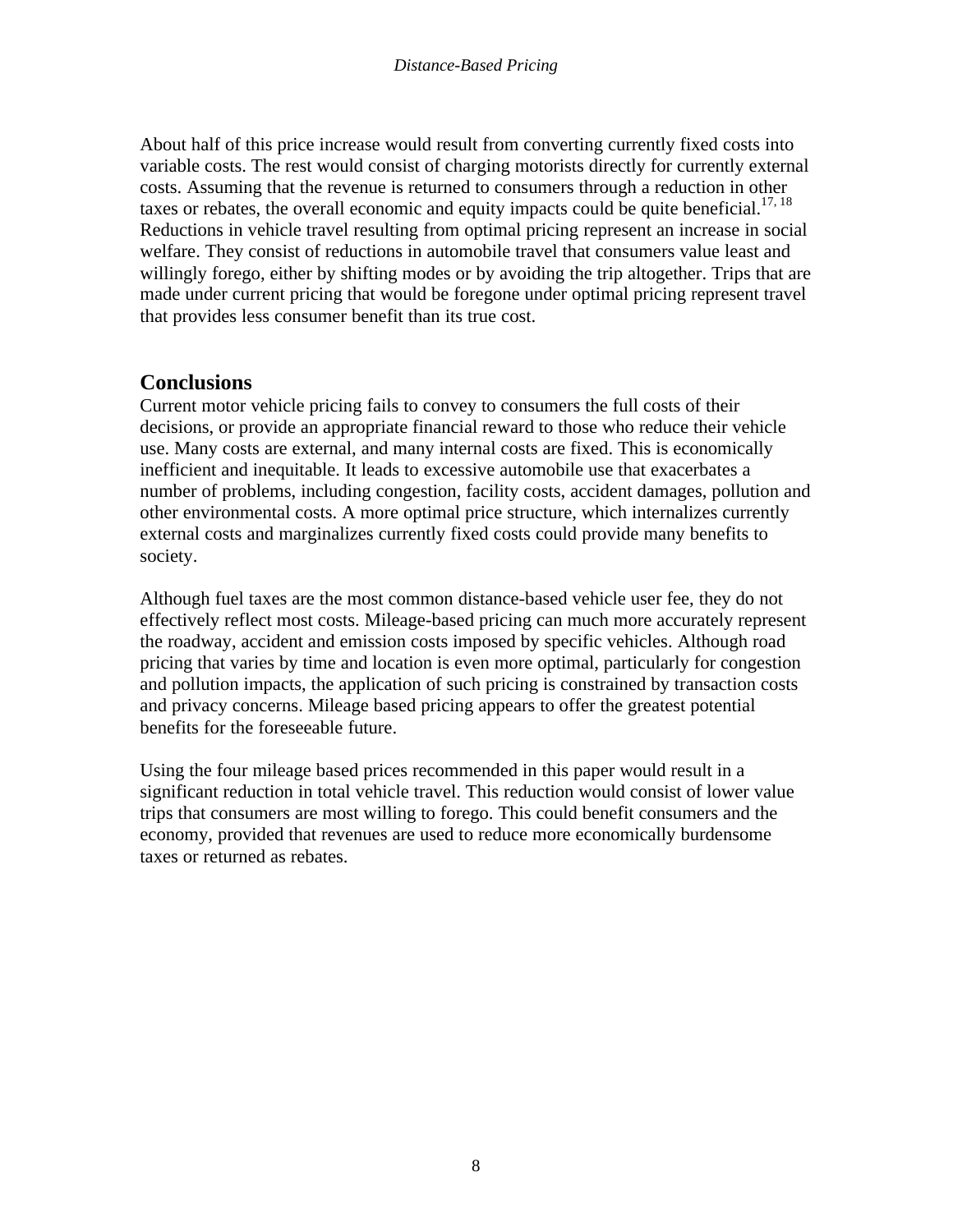About half of this price increase would result from converting currently fixed costs into variable costs. The rest would consist of charging motorists directly for currently external costs. Assuming that the revenue is returned to consumers through a reduction in other taxes or rebates, the overall economic and equity impacts could be quite beneficial.<sup>17, 18</sup> Reductions in vehicle travel resulting from optimal pricing represent an increase in social welfare. They consist of reductions in automobile travel that consumers value least and willingly forego, either by shifting modes or by avoiding the trip altogether. Trips that are made under current pricing that would be foregone under optimal pricing represent travel that provides less consumer benefit than its true cost.

### **Conclusions**

Current motor vehicle pricing fails to convey to consumers the full costs of their decisions, or provide an appropriate financial reward to those who reduce their vehicle use. Many costs are external, and many internal costs are fixed. This is economically inefficient and inequitable. It leads to excessive automobile use that exacerbates a number of problems, including congestion, facility costs, accident damages, pollution and other environmental costs. A more optimal price structure, which internalizes currently external costs and marginalizes currently fixed costs could provide many benefits to society.

Although fuel taxes are the most common distance-based vehicle user fee, they do not effectively reflect most costs. Mileage-based pricing can much more accurately represent the roadway, accident and emission costs imposed by specific vehicles. Although road pricing that varies by time and location is even more optimal, particularly for congestion and pollution impacts, the application of such pricing is constrained by transaction costs and privacy concerns. Mileage based pricing appears to offer the greatest potential benefits for the foreseeable future.

Using the four mileage based prices recommended in this paper would result in a significant reduction in total vehicle travel. This reduction would consist of lower value trips that consumers are most willing to forego. This could benefit consumers and the economy, provided that revenues are used to reduce more economically burdensome taxes or returned as rebates.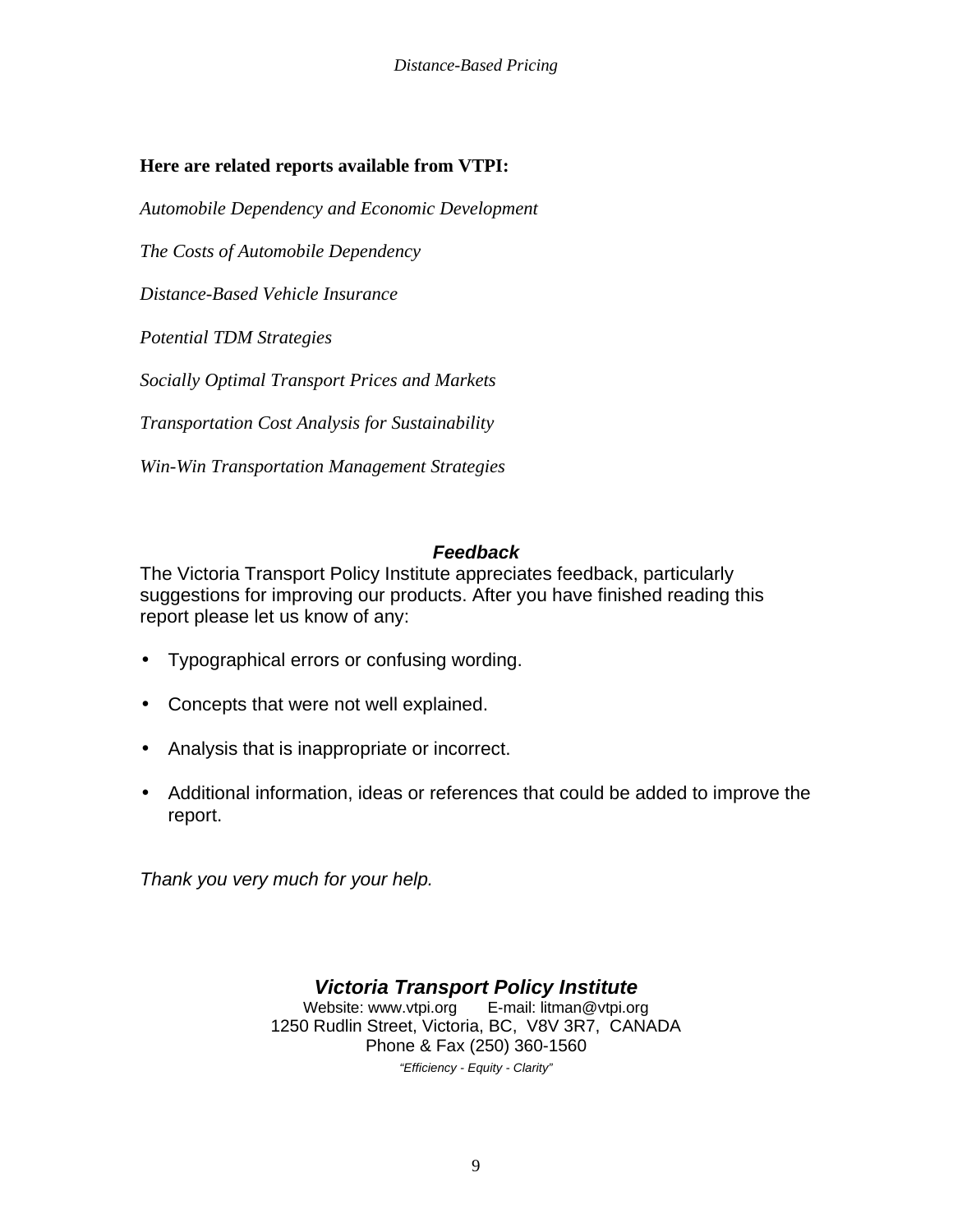### **Here are related reports available from VTPI:**

*Automobile Dependency and Economic Development*

*The Costs of Automobile Dependency*

*Distance-Based Vehicle Insurance*

*Potential TDM Strategies*

*Socially Optimal Transport Prices and Markets*

*Transportation Cost Analysis for Sustainability*

*Win-Win Transportation Management Strategies*

#### *Feedback*

The Victoria Transport Policy Institute appreciates feedback, particularly suggestions for improving our products. After you have finished reading this report please let us know of any:

- Typographical errors or confusing wording.
- Concepts that were not well explained.
- Analysis that is inappropriate or incorrect.
- Additional information, ideas or references that could be added to improve the report.

*Thank you very much for your help.*

*Victoria Transport Policy Institute* Website: www.vtpi.org E-mail: litman@vtpi.org 1250 Rudlin Street, Victoria, BC, V8V 3R7, CANADA Phone & Fax (250) 360-1560 *"Efficiency - Equity - Clarity"*